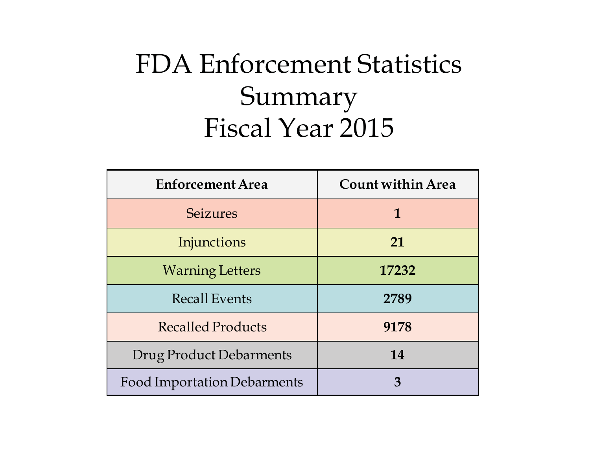#### FDA Enforcement Statistics Summary Fiscal Year 2015

| <b>Enforcement Area</b>     | Count within Area |
|-----------------------------|-------------------|
| <b>Seizures</b>             | 1                 |
| Injunctions                 | 21                |
| <b>Warning Letters</b>      | 17232             |
| <b>Recall Events</b>        | 2789              |
| <b>Recalled Products</b>    | 9178              |
| Drug Product Debarments     | 14                |
| Food Importation Debarments | 3                 |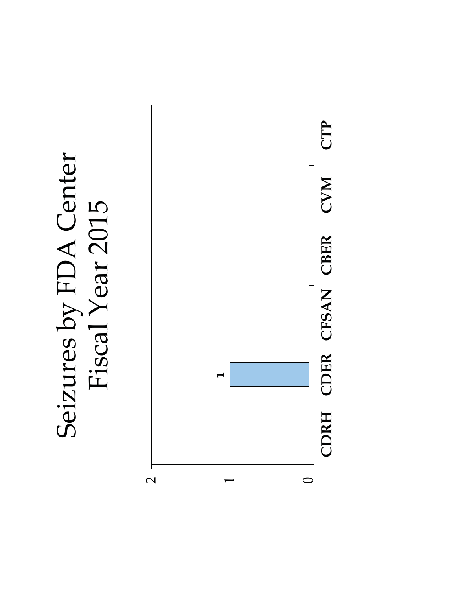

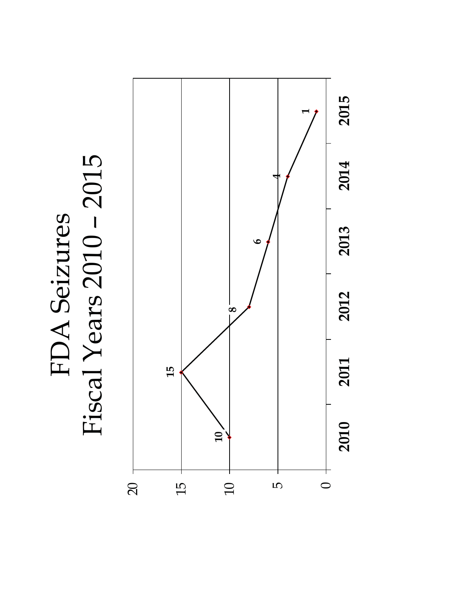

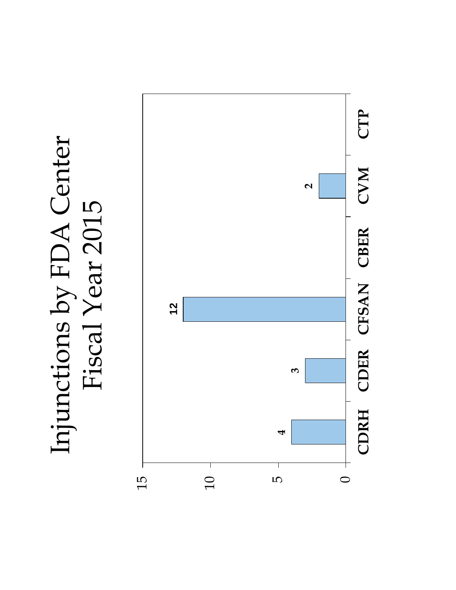

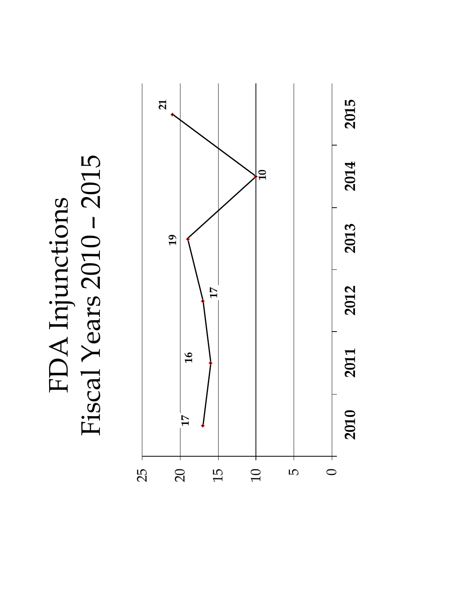Fiscal Years 2010 – 2015 FDA Injunctions<br>Fiscal Years 2010 - 2015 FDA Injunctions

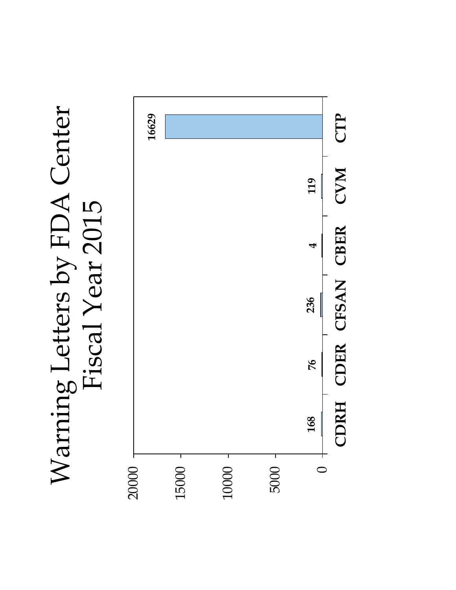## Warning Letters by FDA Center Warning Letters by FDA Center Fiscal Year 2015 Fiscal Year 2015

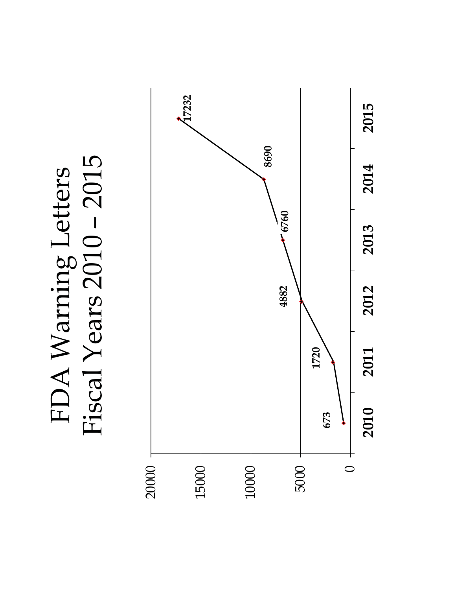Fiscal Years 2010 – 2015 FDA Warning Letters<br>Fiscal Years 2010 - 2015 FDA Warning Letters

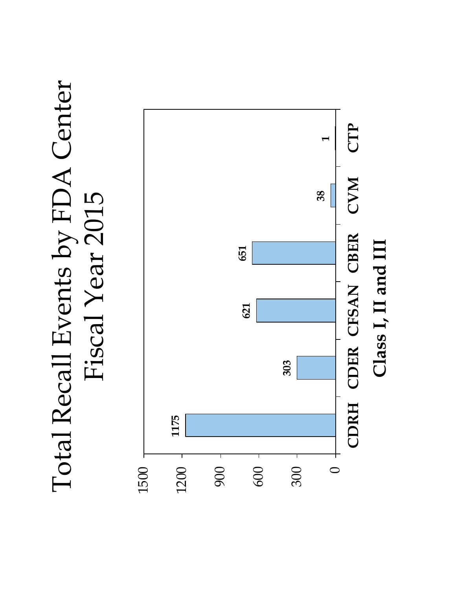## Total Recall Events by FDA Center Total Recall Events by FDA Center Fiscal Year 2015 Fiscal Year 2015

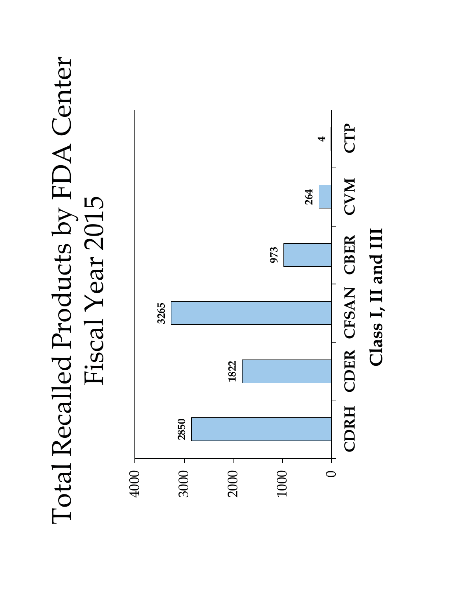## Total Recalled Products by FDA Center Total Recalled Products by FDA Center Fiscal Year 2015 Fiscal Year 2015

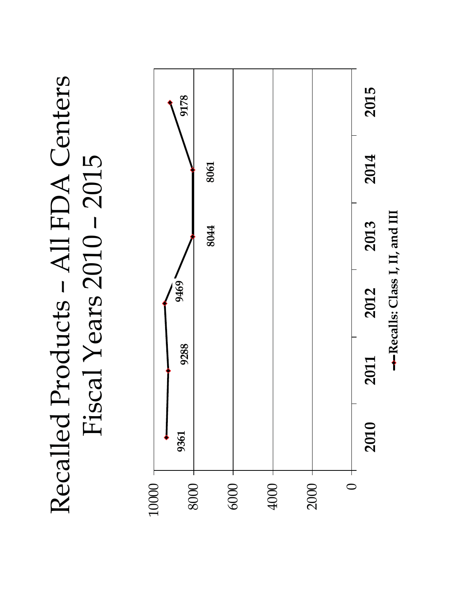Recalled Products – All FDA Centers Recalled Products - All FDA Centers Fiscal Years 2010 – 2015 Fiscal Years 2010 - 2015

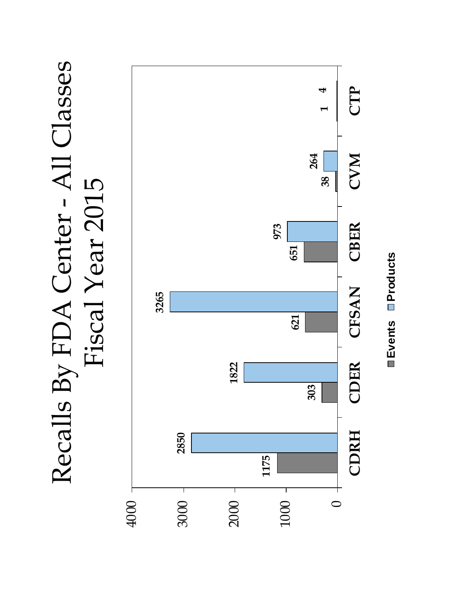Recalls By FDA Center - All Classes Recalls By FDA Center - All Classes Fiscal Year 2015 Fiscal Year 2015



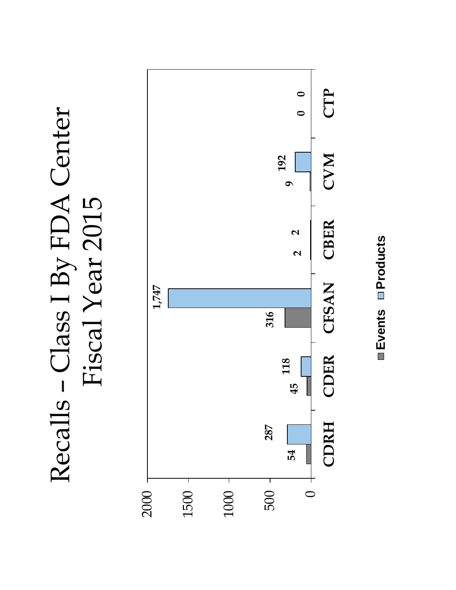# Recalls – Class I By FDA Center Recalls - Class I By FDA Center Fiscal Year 2015



Events **Products Events Products**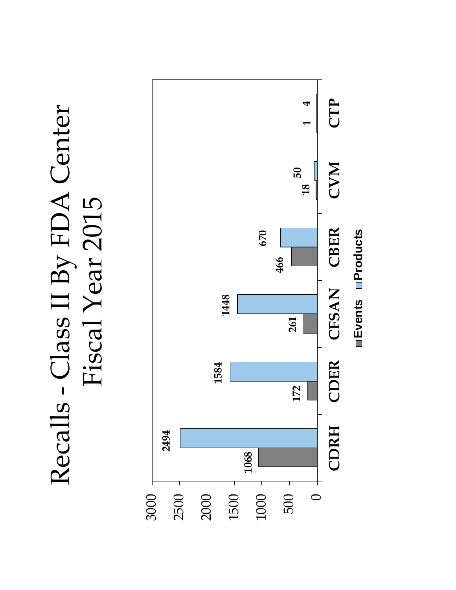## Recalls - Class II By FDA Center Recalls - Class II By FDA Center Fiscal Year 2015 Fiscal Year 2015